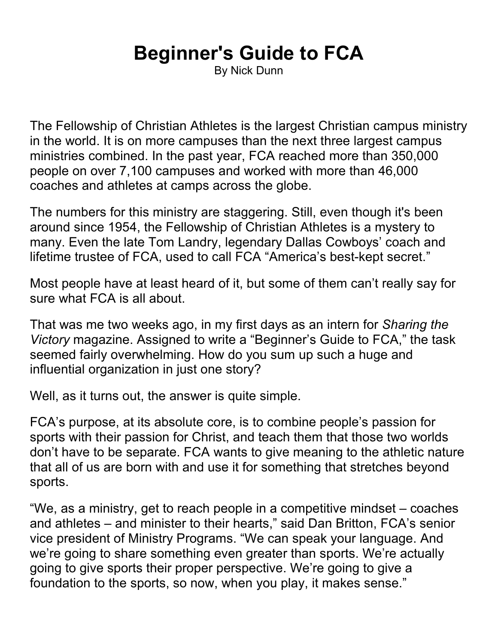## **Beginner's Guide to FCA**

By Nick Dunn

The Fellowship of Christian Athletes is the largest Christian campus ministry in the world. It is on more campuses than the next three largest campus ministries combined. In the past year, FCA reached more than 350,000 people on over 7,100 campuses and worked with more than 46,000 coaches and athletes at camps across the globe.

The numbers for this ministry are staggering. Still, even though it's been around since 1954, the Fellowship of Christian Athletes is a mystery to many. Even the late Tom Landry, legendary Dallas Cowboys' coach and lifetime trustee of FCA, used to call FCA "America's best-kept secret."

Most people have at least heard of it, but some of them can't really say for sure what FCA is all about.

That was me two weeks ago, in my first days as an intern for *Sharing the Victory* magazine. Assigned to write a "Beginner's Guide to FCA," the task seemed fairly overwhelming. How do you sum up such a huge and influential organization in just one story?

Well, as it turns out, the answer is quite simple.

FCA's purpose, at its absolute core, is to combine people's passion for sports with their passion for Christ, and teach them that those two worlds don't have to be separate. FCA wants to give meaning to the athletic nature that all of us are born with and use it for something that stretches beyond sports.

"We, as a ministry, get to reach people in a competitive mindset – coaches and athletes – and minister to their hearts," said Dan Britton, FCA's senior vice president of Ministry Programs. "We can speak your language. And we're going to share something even greater than sports. We're actually going to give sports their proper perspective. We're going to give a foundation to the sports, so now, when you play, it makes sense."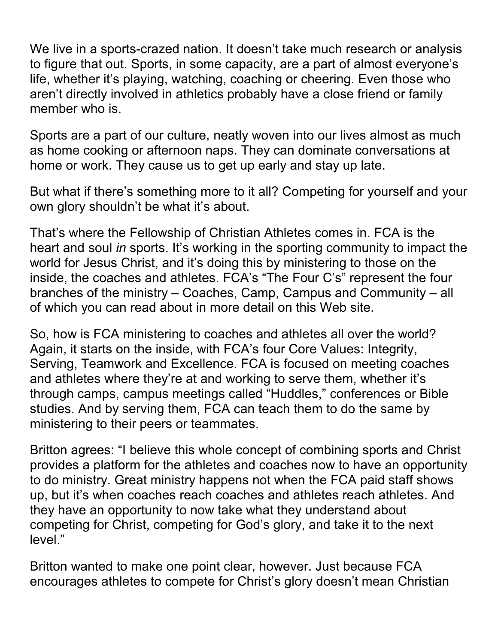We live in a sports-crazed nation. It doesn't take much research or analysis to figure that out. Sports, in some capacity, are a part of almost everyone's life, whether it's playing, watching, coaching or cheering. Even those who aren't directly involved in athletics probably have a close friend or family member who is.

Sports are a part of our culture, neatly woven into our lives almost as much as home cooking or afternoon naps. They can dominate conversations at home or work. They cause us to get up early and stay up late.

But what if there's something more to it all? Competing for yourself and your own glory shouldn't be what it's about.

That's where the Fellowship of Christian Athletes comes in. FCA is the heart and soul *in* sports. It's working in the sporting community to impact the world for Jesus Christ, and it's doing this by ministering to those on the inside, the coaches and athletes. FCA's "The Four C's" represent the four branches of the ministry – Coaches, Camp, Campus and Community – all of which you can read about in more detail on this Web site.

So, how is FCA ministering to coaches and athletes all over the world? Again, it starts on the inside, with FCA's four Core Values: Integrity, Serving, Teamwork and Excellence. FCA is focused on meeting coaches and athletes where they're at and working to serve them, whether it's through camps, campus meetings called "Huddles," conferences or Bible studies. And by serving them, FCA can teach them to do the same by ministering to their peers or teammates.

Britton agrees: "I believe this whole concept of combining sports and Christ provides a platform for the athletes and coaches now to have an opportunity to do ministry. Great ministry happens not when the FCA paid staff shows up, but it's when coaches reach coaches and athletes reach athletes. And they have an opportunity to now take what they understand about competing for Christ, competing for God's glory, and take it to the next level."

Britton wanted to make one point clear, however. Just because FCA encourages athletes to compete for Christ's glory doesn't mean Christian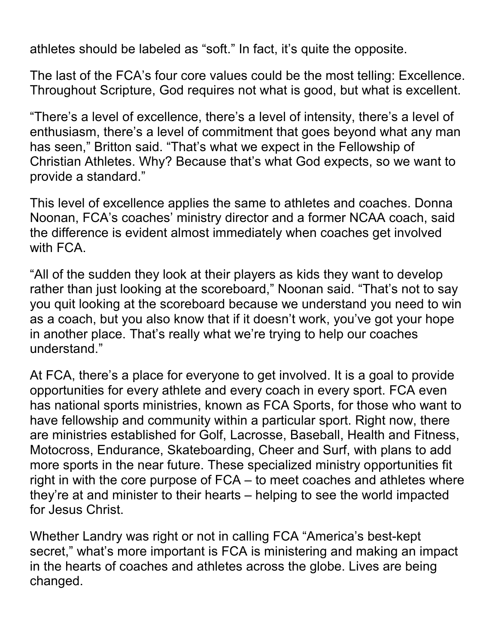athletes should be labeled as "soft." In fact, it's quite the opposite.

The last of the FCA's four core values could be the most telling: Excellence. Throughout Scripture, God requires not what is good, but what is excellent.

"There's a level of excellence, there's a level of intensity, there's a level of enthusiasm, there's a level of commitment that goes beyond what any man has seen," Britton said. "That's what we expect in the Fellowship of Christian Athletes. Why? Because that's what God expects, so we want to provide a standard."

This level of excellence applies the same to athletes and coaches. Donna Noonan, FCA's coaches' ministry director and a former NCAA coach, said the difference is evident almost immediately when coaches get involved with FCA.

"All of the sudden they look at their players as kids they want to develop rather than just looking at the scoreboard," Noonan said. "That's not to say you quit looking at the scoreboard because we understand you need to win as a coach, but you also know that if it doesn't work, you've got your hope in another place. That's really what we're trying to help our coaches understand."

At FCA, there's a place for everyone to get involved. It is a goal to provide opportunities for every athlete and every coach in every sport. FCA even has national sports ministries, known as FCA Sports, for those who want to have fellowship and community within a particular sport. Right now, there are ministries established for Golf, Lacrosse, Baseball, Health and Fitness, Motocross, Endurance, Skateboarding, Cheer and Surf, with plans to add more sports in the near future. These specialized ministry opportunities fit right in with the core purpose of FCA – to meet coaches and athletes where they're at and minister to their hearts – helping to see the world impacted for Jesus Christ.

Whether Landry was right or not in calling FCA "America's best-kept secret," what's more important is FCA is ministering and making an impact in the hearts of coaches and athletes across the globe. Lives are being changed.